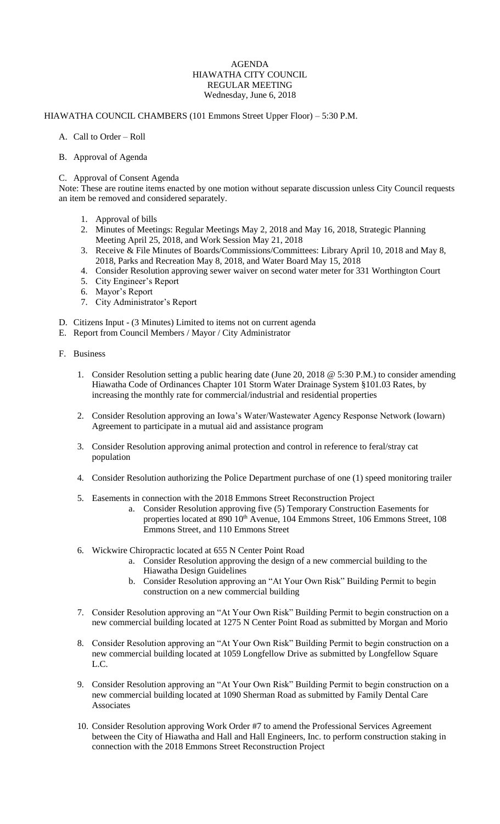## AGENDA HIAWATHA CITY COUNCIL REGULAR MEETING Wednesday, June 6, 2018

## HIAWATHA COUNCIL CHAMBERS (101 Emmons Street Upper Floor) – 5:30 P.M.

- A. Call to Order Roll
- B. Approval of Agenda

## C. Approval of Consent Agenda

Note: These are routine items enacted by one motion without separate discussion unless City Council requests an item be removed and considered separately.

- 1. Approval of bills
- 2. Minutes of Meetings: Regular Meetings May 2, 2018 and May 16, 2018, Strategic Planning Meeting April 25, 2018, and Work Session May 21, 2018
- 3. Receive & File Minutes of Boards/Commissions/Committees: Library April 10, 2018 and May 8, 2018, Parks and Recreation May 8, 2018, and Water Board May 15, 2018
- 4. Consider Resolution approving sewer waiver on second water meter for 331 Worthington Court
- 5. City Engineer's Report
- 6. Mayor's Report
- 7. City Administrator's Report
- D. Citizens Input (3 Minutes) Limited to items not on current agenda
- E. Report from Council Members / Mayor / City Administrator
- F. Business
	- 1. Consider Resolution setting a public hearing date (June 20, 2018 @ 5:30 P.M.) to consider amending Hiawatha Code of Ordinances Chapter 101 Storm Water Drainage System §101.03 Rates, by increasing the monthly rate for commercial/industrial and residential properties
	- 2. Consider Resolution approving an Iowa's Water/Wastewater Agency Response Network (Iowarn) Agreement to participate in a mutual aid and assistance program
	- 3. Consider Resolution approving animal protection and control in reference to feral/stray cat population
	- 4. Consider Resolution authorizing the Police Department purchase of one (1) speed monitoring trailer
	- 5. Easements in connection with the 2018 Emmons Street Reconstruction Project
		- a. Consider Resolution approving five (5) Temporary Construction Easements for properties located at 890 10<sup>th</sup> Avenue, 104 Emmons Street, 106 Emmons Street, 108 Emmons Street, and 110 Emmons Street
	- 6. Wickwire Chiropractic located at 655 N Center Point Road
		- a. Consider Resolution approving the design of a new commercial building to the Hiawatha Design Guidelines
		- b. Consider Resolution approving an "At Your Own Risk" Building Permit to begin construction on a new commercial building
	- 7. Consider Resolution approving an "At Your Own Risk" Building Permit to begin construction on a new commercial building located at 1275 N Center Point Road as submitted by Morgan and Morio
	- 8. Consider Resolution approving an "At Your Own Risk" Building Permit to begin construction on a new commercial building located at 1059 Longfellow Drive as submitted by Longfellow Square L.C.
	- 9. Consider Resolution approving an "At Your Own Risk" Building Permit to begin construction on a new commercial building located at 1090 Sherman Road as submitted by Family Dental Care **Associates**
	- 10. Consider Resolution approving Work Order #7 to amend the Professional Services Agreement between the City of Hiawatha and Hall and Hall Engineers, Inc. to perform construction staking in connection with the 2018 Emmons Street Reconstruction Project